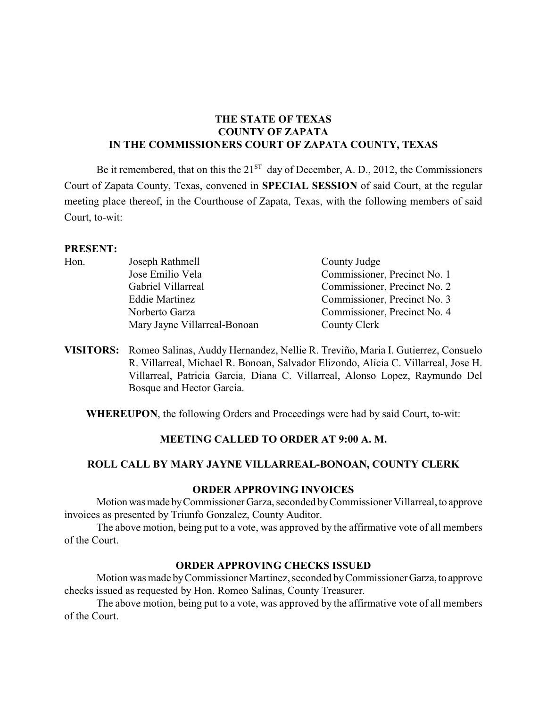# **THE STATE OF TEXAS COUNTY OF ZAPATA IN THE COMMISSIONERS COURT OF ZAPATA COUNTY, TEXAS**

Be it remembered, that on this the  $21<sup>ST</sup>$  day of December, A. D., 2012, the Commissioners Court of Zapata County, Texas, convened in **SPECIAL SESSION** of said Court, at the regular meeting place thereof, in the Courthouse of Zapata, Texas, with the following members of said Court, to-wit:

### **PRESENT:**

| Hon. | Joseph Rathmell              | County Judge                 |
|------|------------------------------|------------------------------|
|      | Jose Emilio Vela             | Commissioner, Precinct No. 1 |
|      | Gabriel Villarreal           | Commissioner, Precinct No. 2 |
|      | <b>Eddie Martinez</b>        | Commissioner, Precinct No. 3 |
|      | Norberto Garza               | Commissioner, Precinct No. 4 |
|      | Mary Jayne Villarreal-Bonoan | County Clerk                 |
|      |                              |                              |

**VISITORS:** Romeo Salinas, Auddy Hernandez, Nellie R. Treviño, Maria I. Gutierrez, Consuelo R. Villarreal, Michael R. Bonoan, Salvador Elizondo, Alicia C. Villarreal, Jose H. Villarreal, Patricia Garcia, Diana C. Villarreal, Alonso Lopez, Raymundo Del Bosque and Hector Garcia.

**WHEREUPON**, the following Orders and Proceedings were had by said Court, to-wit:

## **MEETING CALLED TO ORDER AT 9:00 A. M.**

## **ROLL CALL BY MARY JAYNE VILLARREAL-BONOAN, COUNTY CLERK**

#### **ORDER APPROVING INVOICES**

Motion was made by Commissioner Garza, seconded by Commissioner Villarreal, to approve invoices as presented by Triunfo Gonzalez, County Auditor.

The above motion, being put to a vote, was approved by the affirmative vote of all members of the Court.

## **ORDER APPROVING CHECKS ISSUED**

Motion was made by Commissioner Martinez, seconded by Commissioner Garza, to approve checks issued as requested by Hon. Romeo Salinas, County Treasurer.

The above motion, being put to a vote, was approved by the affirmative vote of all members of the Court.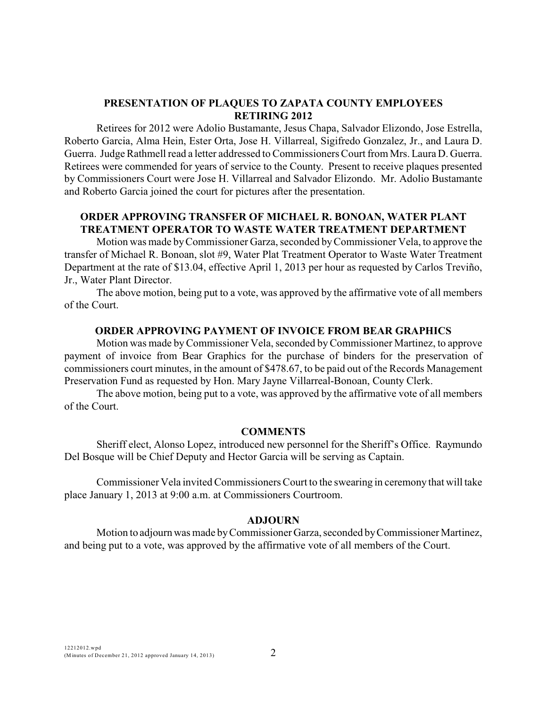## **PRESENTATION OF PLAQUES TO ZAPATA COUNTY EMPLOYEES RETIRING 2012**

Retirees for 2012 were Adolio Bustamante, Jesus Chapa, Salvador Elizondo, Jose Estrella, Roberto Garcia, Alma Hein, Ester Orta, Jose H. Villarreal, Sigifredo Gonzalez, Jr., and Laura D. Guerra. Judge Rathmell read a letter addressed to Commissioners Court from Mrs. Laura D. Guerra. Retirees were commended for years of service to the County. Present to receive plaques presented by Commissioners Court were Jose H. Villarreal and Salvador Elizondo. Mr. Adolio Bustamante and Roberto Garcia joined the court for pictures after the presentation.

## **ORDER APPROVING TRANSFER OF MICHAEL R. BONOAN, WATER PLANT TREATMENT OPERATOR TO WASTE WATER TREATMENT DEPARTMENT**

Motion was made by Commissioner Garza, seconded by Commissioner Vela, to approve the transfer of Michael R. Bonoan, slot #9, Water Plat Treatment Operator to Waste Water Treatment Department at the rate of \$13.04, effective April 1, 2013 per hour as requested by Carlos Treviño, Jr., Water Plant Director.

The above motion, being put to a vote, was approved by the affirmative vote of all members of the Court.

## **ORDER APPROVING PAYMENT OF INVOICE FROM BEAR GRAPHICS**

Motion was made byCommissioner Vela, seconded byCommissioner Martinez, to approve payment of invoice from Bear Graphics for the purchase of binders for the preservation of commissioners court minutes, in the amount of \$478.67, to be paid out of the Records Management Preservation Fund as requested by Hon. Mary Jayne Villarreal-Bonoan, County Clerk.

The above motion, being put to a vote, was approved by the affirmative vote of all members of the Court.

### **COMMENTS**

Sheriff elect, Alonso Lopez, introduced new personnel for the Sheriff's Office. Raymundo Del Bosque will be Chief Deputy and Hector Garcia will be serving as Captain.

Commissioner Vela invited Commissioners Court to the swearing in ceremony that will take place January 1, 2013 at 9:00 a.m. at Commissioners Courtroom.

#### **ADJOURN**

Motion to adjourn was made byCommissioner Garza, seconded by Commissioner Martinez, and being put to a vote, was approved by the affirmative vote of all members of the Court.